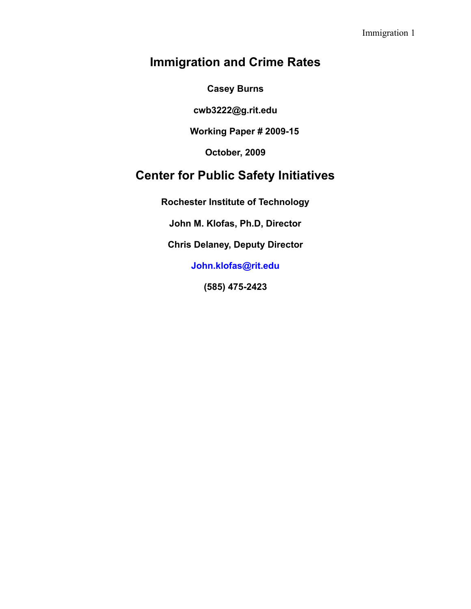# **Immigration and Crime Rates**

**Casey Burns**

**cwb3222@g.rit.edu**

**Working Paper # 2009-15**

**October, 2009**

# **Center for Public Safety Initiatives**

**Rochester Institute of Technology**

**John M. Klofas, Ph.D, Director**

**Chris Delaney, Deputy Director**

**John.klofas@rit.edu**

**(585) 475-2423**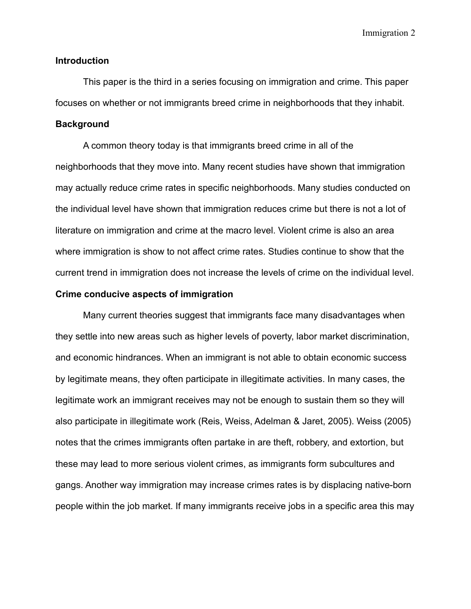# **Introduction**

This paper is the third in a series focusing on immigration and crime. This paper focuses on whether or not immigrants breed crime in neighborhoods that they inhabit.

### **Background**

A common theory today is that immigrants breed crime in all of the neighborhoods that they move into. Many recent studies have shown that immigration may actually reduce crime rates in specific neighborhoods. Many studies conducted on the individual level have shown that immigration reduces crime but there is not a lot of literature on immigration and crime at the macro level. Violent crime is also an area where immigration is show to not affect crime rates. Studies continue to show that the current trend in immigration does not increase the levels of crime on the individual level.

# **Crime conducive aspects of immigration**

Many current theories suggest that immigrants face many disadvantages when they settle into new areas such as higher levels of poverty, labor market discrimination, and economic hindrances. When an immigrant is not able to obtain economic success by legitimate means, they often participate in illegitimate activities. In many cases, the legitimate work an immigrant receives may not be enough to sustain them so they will also participate in illegitimate work (Reis, Weiss, Adelman & Jaret, 2005). Weiss (2005) notes that the crimes immigrants often partake in are theft, robbery, and extortion, but these may lead to more serious violent crimes, as immigrants form subcultures and gangs. Another way immigration may increase crimes rates is by displacing native-born people within the job market. If many immigrants receive jobs in a specific area this may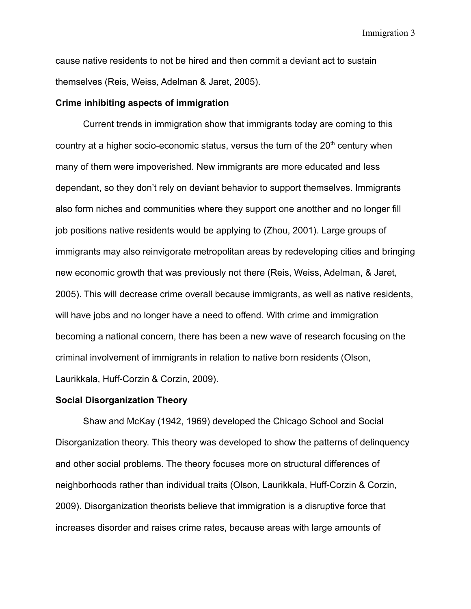cause native residents to not be hired and then commit a deviant act to sustain themselves (Reis, Weiss, Adelman & Jaret, 2005).

### **Crime inhibiting aspects of immigration**

Current trends in immigration show that immigrants today are coming to this country at a higher socio-economic status, versus the turn of the  $20<sup>th</sup>$  century when many of them were impoverished. New immigrants are more educated and less dependant, so they don't rely on deviant behavior to support themselves. Immigrants also form niches and communities where they support one anotther and no longer fill job positions native residents would be applying to (Zhou, 2001). Large groups of immigrants may also reinvigorate metropolitan areas by redeveloping cities and bringing new economic growth that was previously not there (Reis, Weiss, Adelman, & Jaret, 2005). This will decrease crime overall because immigrants, as well as native residents, will have jobs and no longer have a need to offend. With crime and immigration becoming a national concern, there has been a new wave of research focusing on the criminal involvement of immigrants in relation to native born residents (Olson, Laurikkala, Huff-Corzin & Corzin, 2009).

#### **Social Disorganization Theory**

Shaw and McKay (1942, 1969) developed the Chicago School and Social Disorganization theory. This theory was developed to show the patterns of delinquency and other social problems. The theory focuses more on structural differences of neighborhoods rather than individual traits (Olson, Laurikkala, Huff-Corzin & Corzin, 2009). Disorganization theorists believe that immigration is a disruptive force that increases disorder and raises crime rates, because areas with large amounts of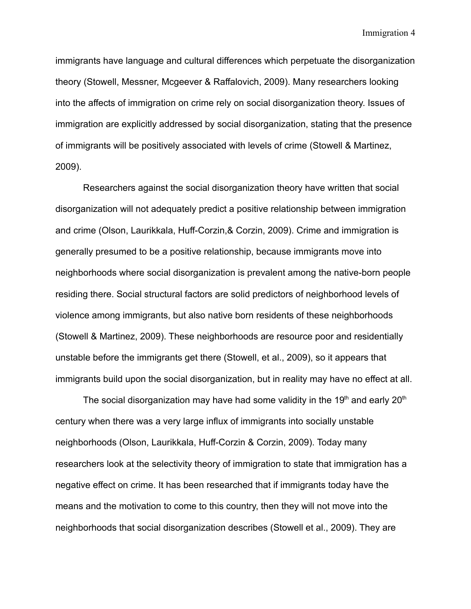immigrants have language and cultural differences which perpetuate the disorganization theory (Stowell, Messner, Mcgeever & Raffalovich, 2009). Many researchers looking into the affects of immigration on crime rely on social disorganization theory. Issues of immigration are explicitly addressed by social disorganization, stating that the presence of immigrants will be positively associated with levels of crime (Stowell & Martinez, 2009).

Researchers against the social disorganization theory have written that social disorganization will not adequately predict a positive relationship between immigration and crime (Olson, Laurikkala, Huff-Corzin,& Corzin, 2009). Crime and immigration is generally presumed to be a positive relationship, because immigrants move into neighborhoods where social disorganization is prevalent among the native-born people residing there. Social structural factors are solid predictors of neighborhood levels of violence among immigrants, but also native born residents of these neighborhoods (Stowell & Martinez, 2009). These neighborhoods are resource poor and residentially unstable before the immigrants get there (Stowell, et al., 2009), so it appears that immigrants build upon the social disorganization, but in reality may have no effect at all.

The social disorganization may have had some validity in the 19<sup>th</sup> and early 20<sup>th</sup> century when there was a very large influx of immigrants into socially unstable neighborhoods (Olson, Laurikkala, Huff-Corzin & Corzin, 2009). Today many researchers look at the selectivity theory of immigration to state that immigration has a negative effect on crime. It has been researched that if immigrants today have the means and the motivation to come to this country, then they will not move into the neighborhoods that social disorganization describes (Stowell et al., 2009). They are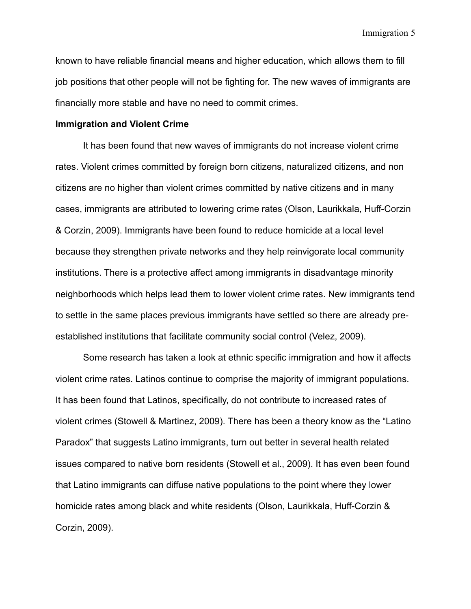known to have reliable financial means and higher education, which allows them to fill job positions that other people will not be fighting for. The new waves of immigrants are financially more stable and have no need to commit crimes.

# **Immigration and Violent Crime**

It has been found that new waves of immigrants do not increase violent crime rates. Violent crimes committed by foreign born citizens, naturalized citizens, and non citizens are no higher than violent crimes committed by native citizens and in many cases, immigrants are attributed to lowering crime rates (Olson, Laurikkala, Huff-Corzin & Corzin, 2009). Immigrants have been found to reduce homicide at a local level because they strengthen private networks and they help reinvigorate local community institutions. There is a protective affect among immigrants in disadvantage minority neighborhoods which helps lead them to lower violent crime rates. New immigrants tend to settle in the same places previous immigrants have settled so there are already preestablished institutions that facilitate community social control (Velez, 2009).

Some research has taken a look at ethnic specific immigration and how it affects violent crime rates. Latinos continue to comprise the majority of immigrant populations. It has been found that Latinos, specifically, do not contribute to increased rates of violent crimes (Stowell & Martinez, 2009). There has been a theory know as the "Latino Paradox" that suggests Latino immigrants, turn out better in several health related issues compared to native born residents (Stowell et al., 2009). It has even been found that Latino immigrants can diffuse native populations to the point where they lower homicide rates among black and white residents (Olson, Laurikkala, Huff-Corzin & Corzin, 2009).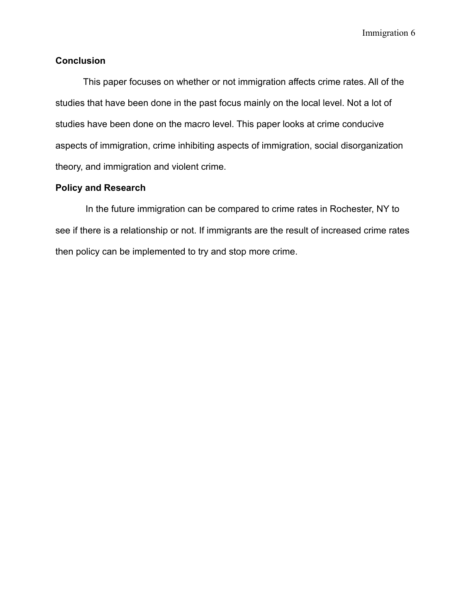# **Conclusion**

This paper focuses on whether or not immigration affects crime rates. All of the studies that have been done in the past focus mainly on the local level. Not a lot of studies have been done on the macro level. This paper looks at crime conducive aspects of immigration, crime inhibiting aspects of immigration, social disorganization theory, and immigration and violent crime.

# **Policy and Research**

 In the future immigration can be compared to crime rates in Rochester, NY to see if there is a relationship or not. If immigrants are the result of increased crime rates then policy can be implemented to try and stop more crime.